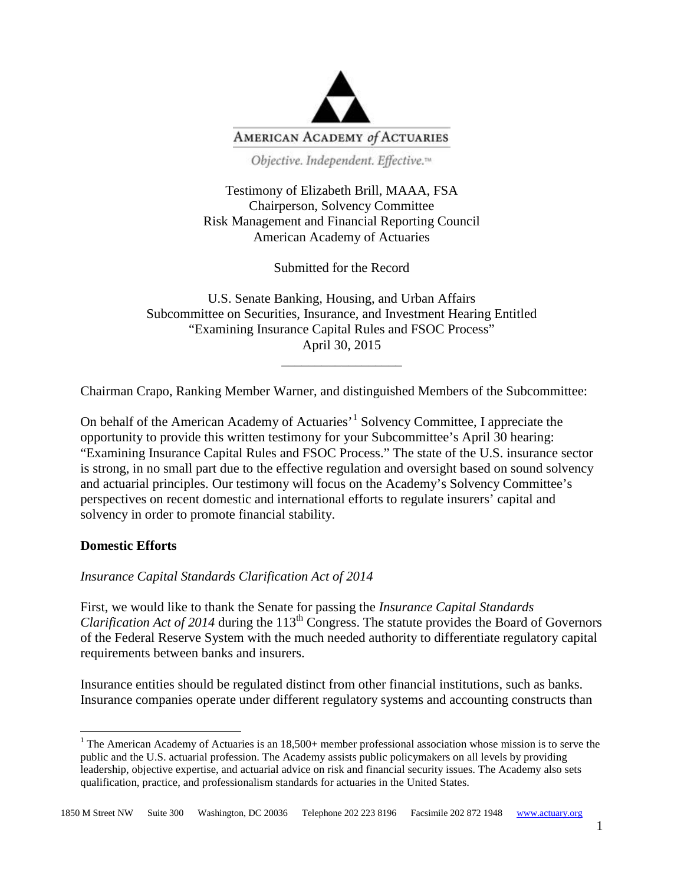

Objective. Independent. Effective.<sup>14</sup>

Testimony of Elizabeth Brill, MAAA, FSA Chairperson, Solvency Committee Risk Management and Financial Reporting Council American Academy of Actuaries

Submitted for the Record

U.S. Senate Banking, Housing, and Urban Affairs Subcommittee on Securities, Insurance, and Investment Hearing Entitled "Examining Insurance Capital Rules and FSOC Process" April 30, 2015 \_\_\_\_\_\_\_\_\_\_\_\_\_\_\_\_\_\_

Chairman Crapo, Ranking Member Warner, and distinguished Members of the Subcommittee:

On behalf of the American Academy of Actuaries'[1](#page-0-0) Solvency Committee, I appreciate the opportunity to provide this written testimony for your Subcommittee's April 30 hearing: "Examining Insurance Capital Rules and FSOC Process." The state of the U.S. insurance sector is strong, in no small part due to the effective regulation and oversight based on sound solvency and actuarial principles. Our testimony will focus on the Academy's Solvency Committee's perspectives on recent domestic and international efforts to regulate insurers' capital and solvency in order to promote financial stability.

### **Domestic Efforts**

*Insurance Capital Standards Clarification Act of 2014*

First, we would like to thank the Senate for passing the *Insurance Capital Standards Clarification Act of 2014* during the  $113<sup>th</sup> Congress$ . The statute provides the Board of Governors of the Federal Reserve System with the much needed authority to differentiate regulatory capital requirements between banks and insurers.

Insurance entities should be regulated distinct from other financial institutions, such as banks. Insurance companies operate under different regulatory systems and accounting constructs than

<span id="page-0-0"></span><sup>&</sup>lt;sup>1</sup> The American Academy of Actuaries is an  $18,500+$  member professional association whose mission is to serve the public and the U.S. actuarial profession. The Academy assists public policymakers on all levels by providing leadership, objective expertise, and actuarial advice on risk and financial security issues. The Academy also sets qualification, practice, and professionalism standards for actuaries in the United States.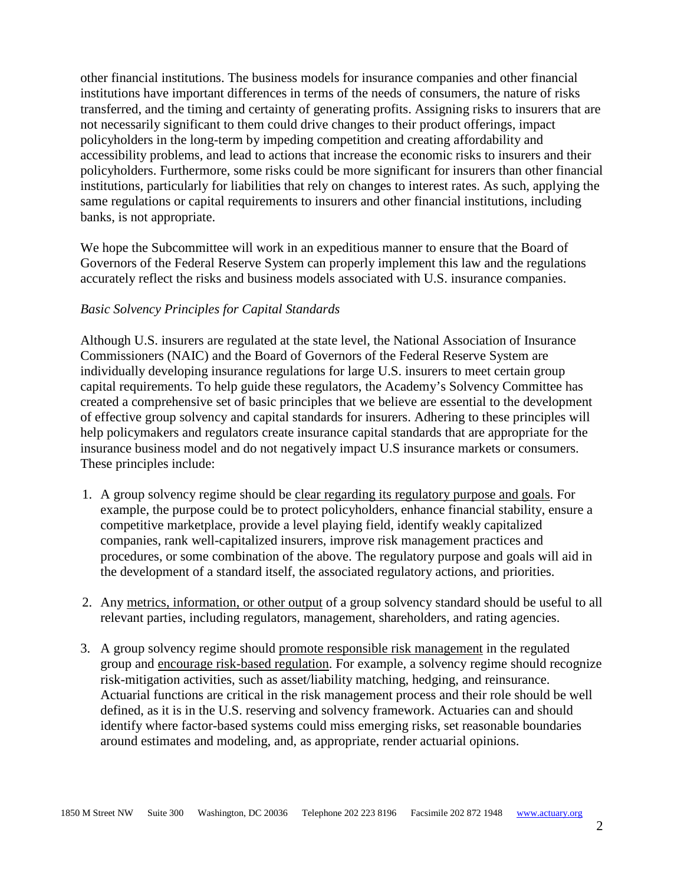other financial institutions. The business models for insurance companies and other financial institutions have important differences in terms of the needs of consumers, the nature of risks transferred, and the timing and certainty of generating profits. Assigning risks to insurers that are not necessarily significant to them could drive changes to their product offerings, impact policyholders in the long-term by impeding competition and creating affordability and accessibility problems, and lead to actions that increase the economic risks to insurers and their policyholders. Furthermore, some risks could be more significant for insurers than other financial institutions, particularly for liabilities that rely on changes to interest rates. As such, applying the same regulations or capital requirements to insurers and other financial institutions, including banks, is not appropriate.

We hope the Subcommittee will work in an expeditious manner to ensure that the Board of Governors of the Federal Reserve System can properly implement this law and the regulations accurately reflect the risks and business models associated with U.S. insurance companies.

### *Basic Solvency Principles for Capital Standards*

Although U.S. insurers are regulated at the state level, the National Association of Insurance Commissioners (NAIC) and the Board of Governors of the Federal Reserve System are individually developing insurance regulations for large U.S. insurers to meet certain group capital requirements. To help guide these regulators, the Academy's Solvency Committee has created a comprehensive set of basic principles that we believe are essential to the development of effective group solvency and capital standards for insurers. Adhering to these principles will help policymakers and regulators create insurance capital standards that are appropriate for the insurance business model and do not negatively impact U.S insurance markets or consumers. These principles include:

- 1. A group solvency regime should be clear regarding its regulatory purpose and goals. For example, the purpose could be to protect policyholders, enhance financial stability, ensure a competitive marketplace, provide a level playing field, identify weakly capitalized companies, rank well-capitalized insurers, improve risk management practices and procedures, or some combination of the above. The regulatory purpose and goals will aid in the development of a standard itself, the associated regulatory actions, and priorities.
- 2. Any metrics, information, or other output of a group solvency standard should be useful to all relevant parties, including regulators, management, shareholders, and rating agencies.
- 3. A group solvency regime should promote responsible risk management in the regulated group and encourage risk-based regulation. For example, a solvency regime should recognize risk-mitigation activities, such as asset/liability matching, hedging, and reinsurance. Actuarial functions are critical in the risk management process and their role should be well defined, as it is in the U.S. reserving and solvency framework. Actuaries can and should identify where factor-based systems could miss emerging risks, set reasonable boundaries around estimates and modeling, and, as appropriate, render actuarial opinions.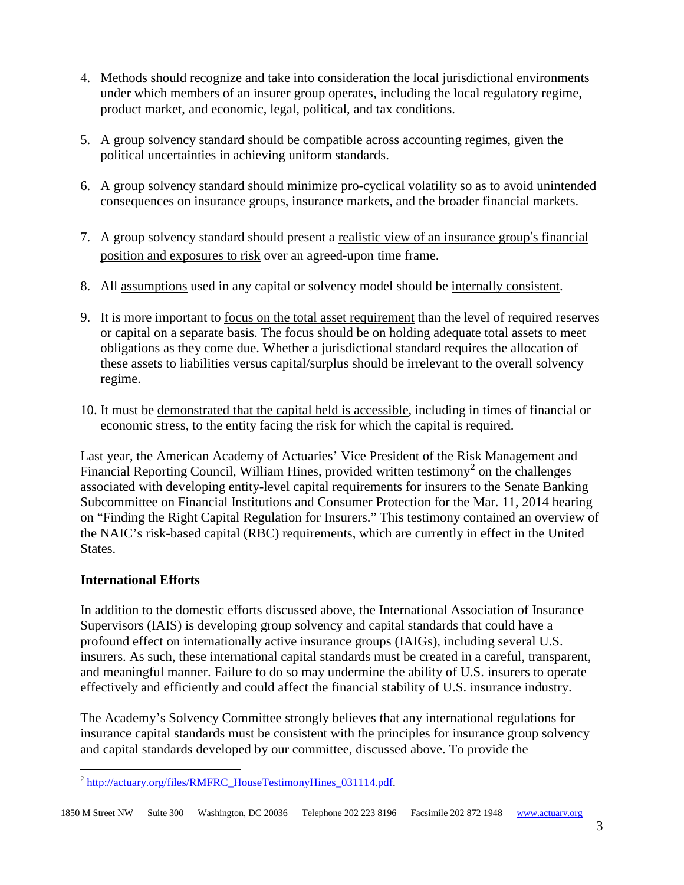- 4. Methods should recognize and take into consideration the local jurisdictional environments under which members of an insurer group operates, including the local regulatory regime, product market, and economic, legal, political, and tax conditions.
- 5. A group solvency standard should be compatible across accounting regimes, given the political uncertainties in achieving uniform standards.
- 6. A group solvency standard should minimize pro-cyclical volatility so as to avoid unintended consequences on insurance groups, insurance markets, and the broader financial markets.
- 7. A group solvency standard should present a realistic view of an insurance group's financial position and exposures to risk over an agreed-upon time frame.
- 8. All assumptions used in any capital or solvency model should be internally consistent.
- 9. It is more important to focus on the total asset requirement than the level of required reserves or capital on a separate basis. The focus should be on holding adequate total assets to meet obligations as they come due. Whether a jurisdictional standard requires the allocation of these assets to liabilities versus capital/surplus should be irrelevant to the overall solvency regime.
- 10. It must be demonstrated that the capital held is accessible, including in times of financial or economic stress, to the entity facing the risk for which the capital is required.

Last year, the American Academy of Actuaries' Vice President of the Risk Management and Financial Reporting Council, William Hines, provided written testimony<sup>[2](#page-2-0)</sup> on the challenges associated with developing entity-level capital requirements for insurers to the Senate Banking Subcommittee on Financial Institutions and Consumer Protection for the Mar. 11, 2014 hearing on "Finding the Right Capital Regulation for Insurers." This testimony contained an overview of the NAIC's risk-based capital (RBC) requirements, which are currently in effect in the United States.

# **International Efforts**

In addition to the domestic efforts discussed above, the International Association of Insurance Supervisors (IAIS) is developing group solvency and capital standards that could have a profound effect on internationally active insurance groups (IAIGs), including several U.S. insurers. As such, these international capital standards must be created in a careful, transparent, and meaningful manner. Failure to do so may undermine the ability of U.S. insurers to operate effectively and efficiently and could affect the financial stability of U.S. insurance industry.

The Academy's Solvency Committee strongly believes that any international regulations for insurance capital standards must be consistent with the principles for insurance group solvency and capital standards developed by our committee, discussed above. To provide the

<span id="page-2-0"></span><sup>&</sup>lt;sup>2</sup> [http://actuary.org/files/RMFRC\\_HouseTestimonyHines\\_031114.pdf.](http://actuary.org/files/RMFRC_HouseTestimonyHines_031114.pdf)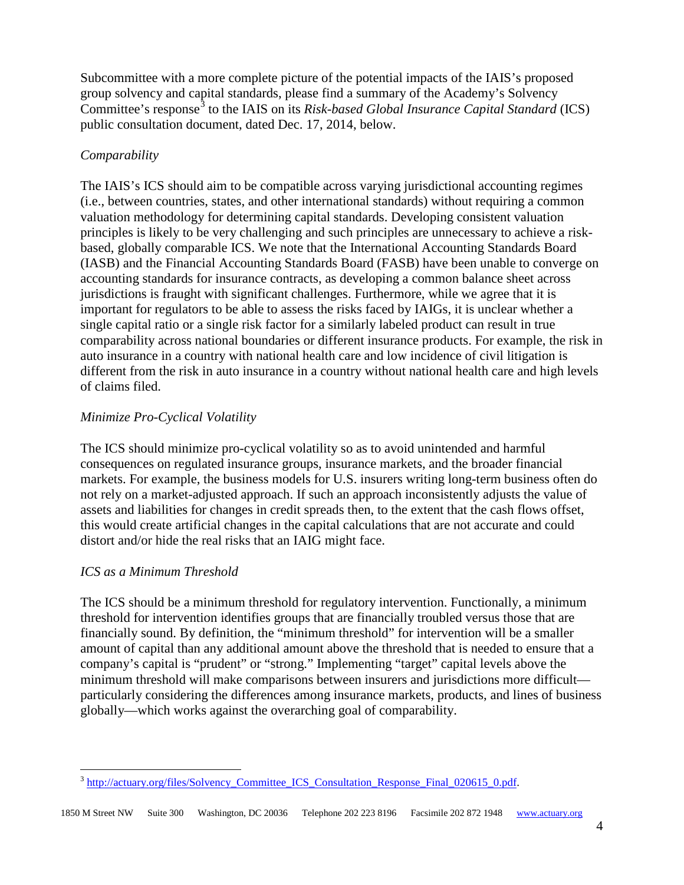Subcommittee with a more complete picture of the potential impacts of the IAIS's proposed group solvency and capital standards, please find a summary of the Academy's Solvency Committee's response<sup>[3](#page-3-0)</sup> to the IAIS on its *Risk-based Global Insurance Capital Standard* (ICS) public consultation document, dated Dec. 17, 2014, below.

# *Comparability*

The IAIS's ICS should aim to be compatible across varying jurisdictional accounting regimes (i.e., between countries, states, and other international standards) without requiring a common valuation methodology for determining capital standards. Developing consistent valuation principles is likely to be very challenging and such principles are unnecessary to achieve a riskbased, globally comparable ICS. We note that the International Accounting Standards Board (IASB) and the Financial Accounting Standards Board (FASB) have been unable to converge on accounting standards for insurance contracts, as developing a common balance sheet across jurisdictions is fraught with significant challenges. Furthermore, while we agree that it is important for regulators to be able to assess the risks faced by IAIGs, it is unclear whether a single capital ratio or a single risk factor for a similarly labeled product can result in true comparability across national boundaries or different insurance products. For example, the risk in auto insurance in a country with national health care and low incidence of civil litigation is different from the risk in auto insurance in a country without national health care and high levels of claims filed.

# *Minimize Pro-Cyclical Volatility*

The ICS should minimize pro-cyclical volatility so as to avoid unintended and harmful consequences on regulated insurance groups, insurance markets, and the broader financial markets. For example, the business models for U.S. insurers writing long-term business often do not rely on a market-adjusted approach. If such an approach inconsistently adjusts the value of assets and liabilities for changes in credit spreads then, to the extent that the cash flows offset, this would create artificial changes in the capital calculations that are not accurate and could distort and/or hide the real risks that an IAIG might face.

# *ICS as a Minimum Threshold*

The ICS should be a minimum threshold for regulatory intervention. Functionally, a minimum threshold for intervention identifies groups that are financially troubled versus those that are financially sound. By definition, the "minimum threshold" for intervention will be a smaller amount of capital than any additional amount above the threshold that is needed to ensure that a company's capital is "prudent" or "strong." Implementing "target" capital levels above the minimum threshold will make comparisons between insurers and jurisdictions more difficult particularly considering the differences among insurance markets, products, and lines of business globally—which works against the overarching goal of comparability.

<span id="page-3-0"></span><sup>&</sup>lt;sup>3</sup> http://actuary.org/files/Solvency Committee ICS Consultation Response Final 020615 0.pdf.